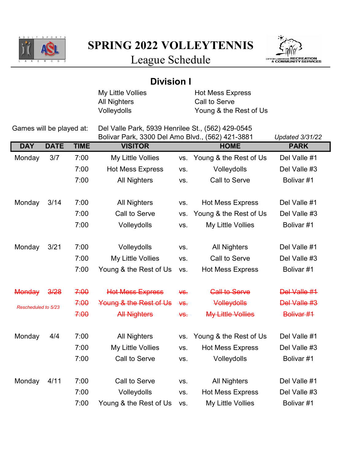

SPRING 2022 VOLLEYTENNIS



League Schedule

| My Little Vollies<br><b>Hot Mess Express</b><br>Call to Serve<br><b>All Nighters</b><br>Volleydolls<br>Young & the Rest of Us<br>Games will be played at:<br>Del Valle Park, 5939 Henrilee St., (562) 429-0545<br>Bolivar Park, 3300 Del Amo Blvd., (562) 421-3881<br><b>Updated 3/31/22</b><br><b>DAY</b><br><b>DATE</b><br><b>TIME</b><br><b>VISITOR</b><br><b>HOME</b><br><b>PARK</b><br>3/7<br>7:00<br>My Little Vollies<br>Young & the Rest of Us<br>Del Valle #1<br>Monday<br>VS.<br>7:00<br><b>Hot Mess Express</b><br>Volleydolls<br>Del Valle #3<br>VS.<br>7:00<br>Call to Serve<br>Bolivar #1<br><b>All Nighters</b><br>VS.<br>3/14<br>7:00<br><b>Hot Mess Express</b><br>Del Valle #1<br>Monday<br><b>All Nighters</b><br>VS.<br>7:00<br>Call to Serve<br>Young & the Rest of Us<br>Del Valle #3<br>VS.<br>7:00<br>Volleydolls<br>My Little Vollies<br>Bolivar #1<br>VS.<br>3/21<br>7:00<br>Del Valle #1<br>Monday<br>Volleydolls<br><b>All Nighters</b><br>VS.<br>7:00<br>Call to Serve<br>My Little Vollies<br>Del Valle #3<br>VS.<br>7:00<br>Young & the Rest of Us<br><b>Hot Mess Express</b><br>Bolivar #1<br>VS. |
|-----------------------------------------------------------------------------------------------------------------------------------------------------------------------------------------------------------------------------------------------------------------------------------------------------------------------------------------------------------------------------------------------------------------------------------------------------------------------------------------------------------------------------------------------------------------------------------------------------------------------------------------------------------------------------------------------------------------------------------------------------------------------------------------------------------------------------------------------------------------------------------------------------------------------------------------------------------------------------------------------------------------------------------------------------------------------------------------------------------------------------------|
|                                                                                                                                                                                                                                                                                                                                                                                                                                                                                                                                                                                                                                                                                                                                                                                                                                                                                                                                                                                                                                                                                                                                   |
|                                                                                                                                                                                                                                                                                                                                                                                                                                                                                                                                                                                                                                                                                                                                                                                                                                                                                                                                                                                                                                                                                                                                   |
|                                                                                                                                                                                                                                                                                                                                                                                                                                                                                                                                                                                                                                                                                                                                                                                                                                                                                                                                                                                                                                                                                                                                   |
|                                                                                                                                                                                                                                                                                                                                                                                                                                                                                                                                                                                                                                                                                                                                                                                                                                                                                                                                                                                                                                                                                                                                   |
|                                                                                                                                                                                                                                                                                                                                                                                                                                                                                                                                                                                                                                                                                                                                                                                                                                                                                                                                                                                                                                                                                                                                   |
|                                                                                                                                                                                                                                                                                                                                                                                                                                                                                                                                                                                                                                                                                                                                                                                                                                                                                                                                                                                                                                                                                                                                   |
|                                                                                                                                                                                                                                                                                                                                                                                                                                                                                                                                                                                                                                                                                                                                                                                                                                                                                                                                                                                                                                                                                                                                   |
|                                                                                                                                                                                                                                                                                                                                                                                                                                                                                                                                                                                                                                                                                                                                                                                                                                                                                                                                                                                                                                                                                                                                   |
|                                                                                                                                                                                                                                                                                                                                                                                                                                                                                                                                                                                                                                                                                                                                                                                                                                                                                                                                                                                                                                                                                                                                   |
|                                                                                                                                                                                                                                                                                                                                                                                                                                                                                                                                                                                                                                                                                                                                                                                                                                                                                                                                                                                                                                                                                                                                   |
|                                                                                                                                                                                                                                                                                                                                                                                                                                                                                                                                                                                                                                                                                                                                                                                                                                                                                                                                                                                                                                                                                                                                   |
|                                                                                                                                                                                                                                                                                                                                                                                                                                                                                                                                                                                                                                                                                                                                                                                                                                                                                                                                                                                                                                                                                                                                   |
|                                                                                                                                                                                                                                                                                                                                                                                                                                                                                                                                                                                                                                                                                                                                                                                                                                                                                                                                                                                                                                                                                                                                   |
|                                                                                                                                                                                                                                                                                                                                                                                                                                                                                                                                                                                                                                                                                                                                                                                                                                                                                                                                                                                                                                                                                                                                   |
|                                                                                                                                                                                                                                                                                                                                                                                                                                                                                                                                                                                                                                                                                                                                                                                                                                                                                                                                                                                                                                                                                                                                   |
|                                                                                                                                                                                                                                                                                                                                                                                                                                                                                                                                                                                                                                                                                                                                                                                                                                                                                                                                                                                                                                                                                                                                   |
|                                                                                                                                                                                                                                                                                                                                                                                                                                                                                                                                                                                                                                                                                                                                                                                                                                                                                                                                                                                                                                                                                                                                   |
|                                                                                                                                                                                                                                                                                                                                                                                                                                                                                                                                                                                                                                                                                                                                                                                                                                                                                                                                                                                                                                                                                                                                   |
| 7:00<br><b>Call to Serve</b><br>Del Valle #1<br><b>Monday</b><br>3/28<br><b>Hot Mess Express</b><br>$\forall$ S.                                                                                                                                                                                                                                                                                                                                                                                                                                                                                                                                                                                                                                                                                                                                                                                                                                                                                                                                                                                                                  |
| 7:00<br>Del Valle #3<br>Young & the Rest of Us<br>Volleydolls<br>$45$<br>Rescheduled to 5/23                                                                                                                                                                                                                                                                                                                                                                                                                                                                                                                                                                                                                                                                                                                                                                                                                                                                                                                                                                                                                                      |
| 7:00<br><b>My Little Vollies</b><br>Bolivar #1<br><b>All Nighters</b><br>₩S.                                                                                                                                                                                                                                                                                                                                                                                                                                                                                                                                                                                                                                                                                                                                                                                                                                                                                                                                                                                                                                                      |
|                                                                                                                                                                                                                                                                                                                                                                                                                                                                                                                                                                                                                                                                                                                                                                                                                                                                                                                                                                                                                                                                                                                                   |
| Del Valle #1<br>Monday<br>4/4<br>7:00<br><b>All Nighters</b><br>Young & the Rest of Us<br>VS.                                                                                                                                                                                                                                                                                                                                                                                                                                                                                                                                                                                                                                                                                                                                                                                                                                                                                                                                                                                                                                     |
| 7:00<br>My Little Vollies<br>Del Valle #3<br><b>Hot Mess Express</b><br>VS.                                                                                                                                                                                                                                                                                                                                                                                                                                                                                                                                                                                                                                                                                                                                                                                                                                                                                                                                                                                                                                                       |
| 7:00<br>Call to Serve<br>Bolivar #1<br>Volleydolls<br>VS.                                                                                                                                                                                                                                                                                                                                                                                                                                                                                                                                                                                                                                                                                                                                                                                                                                                                                                                                                                                                                                                                         |
|                                                                                                                                                                                                                                                                                                                                                                                                                                                                                                                                                                                                                                                                                                                                                                                                                                                                                                                                                                                                                                                                                                                                   |
| 4/11<br>7:00<br>Monday<br>Call to Serve<br>Del Valle #1<br><b>All Nighters</b><br>VS.                                                                                                                                                                                                                                                                                                                                                                                                                                                                                                                                                                                                                                                                                                                                                                                                                                                                                                                                                                                                                                             |
| 7:00<br>Volleydolls<br><b>Hot Mess Express</b><br>Del Valle #3<br>VS.                                                                                                                                                                                                                                                                                                                                                                                                                                                                                                                                                                                                                                                                                                                                                                                                                                                                                                                                                                                                                                                             |
| 7:00<br>Young & the Rest of Us<br>My Little Vollies<br>Bolivar #1<br>VS.                                                                                                                                                                                                                                                                                                                                                                                                                                                                                                                                                                                                                                                                                                                                                                                                                                                                                                                                                                                                                                                          |